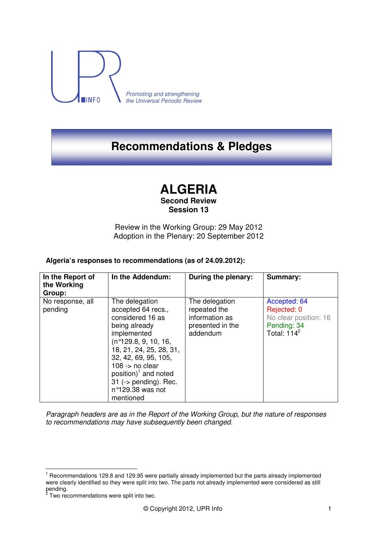

Promoting and strengthening the Universal Periodic Review

# **Recommendations & Pledges**

# **ALGERIA**

### **Second Review Session 13**

Review in the Working Group: 29 May 2012 Adoption in the Plenary: 20 September 2012

## **Algeria's responses to recommendations (as of 24.09.2012):**

| In the Report of<br>the Working<br>Group: | In the Addendum:                                                                                                                                                                                                                                                                                             | During the plenary:                                                              | <b>Summary:</b>                                                                       |
|-------------------------------------------|--------------------------------------------------------------------------------------------------------------------------------------------------------------------------------------------------------------------------------------------------------------------------------------------------------------|----------------------------------------------------------------------------------|---------------------------------------------------------------------------------------|
| No response, all<br>pending               | The delegation<br>accepted 64 recs.,<br>considered 16 as<br>being already<br>implemented<br>(n°129.8, 9, 10, 16,<br>18, 21, 24, 25, 28, 31,<br>32, 42, 69, 95, 105,<br>$108 - p$ no clear<br>position) <sup>1</sup> and noted<br>31 ( $\rightarrow$ pending). Rec.<br>$n^{\circ}129.38$ was not<br>mentioned | The delegation<br>repeated the<br>information as<br>presented in the<br>addendum | Accepted: 64<br>Rejected: 0<br>No clear position: 16<br>Pending: 34<br>Total: $114^2$ |

Paragraph headers are as in the Report of the Working Group, but the nature of responses to recommendations may have subsequently been changed.

 $\overline{a}$ 

<sup>&</sup>lt;sup>1</sup> Recommendations 129.8 and 129.95 were partially already implemented but the parts already implemented were clearly identified so they were split into two. The parts not already implemented were considered as still pending.<br><sup>2</sup> Two recommendations were split into two.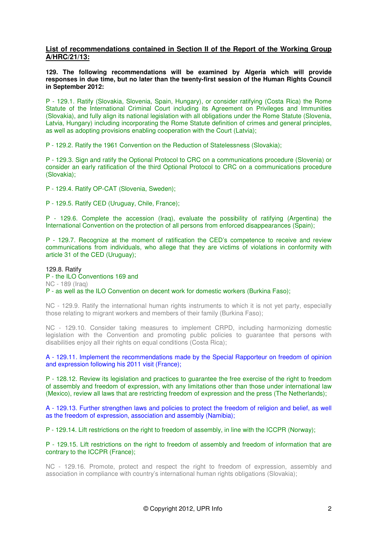#### **List of recommendations contained in Section II of the Report of the Working Group A/HRC/21/13:**

**129. The following recommendations will be examined by Algeria which will provide responses in due time, but no later than the twenty-first session of the Human Rights Council in September 2012:** 

P - 129.1. Ratify (Slovakia, Slovenia, Spain, Hungary), or consider ratifying (Costa Rica) the Rome Statute of the International Criminal Court including its Agreement on Privileges and Immunities (Slovakia), and fully align its national legislation with all obligations under the Rome Statute (Slovenia, Latvia, Hungary) including incorporating the Rome Statute definition of crimes and general principles, as well as adopting provisions enabling cooperation with the Court (Latvia);

P - 129.2. Ratify the 1961 Convention on the Reduction of Statelessness (Slovakia);

P - 129.3. Sign and ratify the Optional Protocol to CRC on a communications procedure (Slovenia) or consider an early ratification of the third Optional Protocol to CRC on a communications procedure (Slovakia);

P - 129.4. Ratify OP-CAT (Slovenia, Sweden);

P - 129.5. Ratify CED (Uruguay, Chile, France);

P - 129.6. Complete the accession (Iraq), evaluate the possibility of ratifying (Argentina) the International Convention on the protection of all persons from enforced disappearances (Spain);

P - 129.7. Recognize at the moment of ratification the CED's competence to receive and review communications from individuals, who allege that they are victims of violations in conformity with article 31 of the CED (Uruguay);

129.8. Ratify P - the ILO Conventions 169 and NC - 189 (Iraq) P - as well as the ILO Convention on decent work for domestic workers (Burkina Faso);

NC - 129.9. Ratify the international human rights instruments to which it is not yet party, especially those relating to migrant workers and members of their family (Burkina Faso);

NC - 129.10. Consider taking measures to implement CRPD, including harmonizing domestic legislation with the Convention and promoting public policies to guarantee that persons with disabilities enjoy all their rights on equal conditions (Costa Rica);

A - 129.11. Implement the recommendations made by the Special Rapporteur on freedom of opinion and expression following his 2011 visit (France);

P - 128.12. Review its legislation and practices to guarantee the free exercise of the right to freedom of assembly and freedom of expression, with any limitations other than those under international law (Mexico), review all laws that are restricting freedom of expression and the press (The Netherlands);

A - 129.13. Further strengthen laws and policies to protect the freedom of religion and belief, as well as the freedom of expression, association and assembly (Namibia);

P - 129.14. Lift restrictions on the right to freedom of assembly, in line with the ICCPR (Norway);

P - 129.15. Lift restrictions on the right to freedom of assembly and freedom of information that are contrary to the ICCPR (France);

NC - 129.16. Promote, protect and respect the right to freedom of expression, assembly and association in compliance with country's international human rights obligations (Slovakia);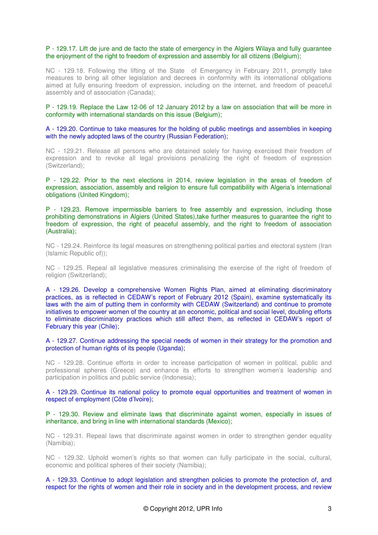#### P - 129.17. Lift de jure and de facto the state of emergency in the Algiers Wilaya and fully guarantee the enjoyment of the right to freedom of expression and assembly for all citizens (Belgium);

NC - 129.18. Following the lifting of the State of Emergency in February 2011, promptly take measures to bring all other legislation and decrees in conformity with its international obligations aimed at fully ensuring freedom of expression, including on the internet, and freedom of peaceful assembly and of association (Canada);

P - 129.19. Replace the Law 12-06 of 12 January 2012 by a law on association that will be more in conformity with international standards on this issue (Belgium);

A - 129.20. Continue to take measures for the holding of public meetings and assemblies in keeping with the newly adopted laws of the country (Russian Federation);

NC - 129.21. Release all persons who are detained solely for having exercised their freedom of expression and to revoke all legal provisions penalizing the right of freedom of expression (Switzerland);

P - 129.22. Prior to the next elections in 2014, review legislation in the areas of freedom of expression, association, assembly and religion to ensure full compatibility with Algeria's international obligations (United Kingdom);

P - 129.23. Remove impermissible barriers to free assembly and expression, including those prohibiting demonstrations in Algiers (United States),take further measures to guarantee the right to freedom of expression, the right of peaceful assembly, and the right to freedom of association (Australia);

NC - 129.24. Reinforce its legal measures on strengthening political parties and electoral system (Iran (Islamic Republic of));

NC - 129.25. Repeal all legislative measures criminalising the exercise of the right of freedom of religion (Switzerland);

A - 129.26. Develop a comprehensive Women Rights Plan, aimed at eliminating discriminatory practices, as is reflected in CEDAW's report of February 2012 (Spain), examine systematically its laws with the aim of putting them in conformity with CEDAW (Switzerland) and continue to promote initiatives to empower women of the country at an economic, political and social level, doubling efforts to eliminate discriminatory practices which still affect them, as reflected in CEDAW's report of February this year (Chile);

A - 129.27. Continue addressing the special needs of women in their strategy for the promotion and protection of human rights of its people (Uganda);

NC - 129.28. Continue efforts in order to increase participation of women in political, public and professional spheres (Greece) and enhance its efforts to strengthen women's leadership and participation in politics and public service (Indonesia);

A - 129.29. Continue its national policy to promote equal opportunities and treatment of women in respect of employment (Côte d'Ivoire);

P - 129.30. Review and eliminate laws that discriminate against women, especially in issues of inheritance, and bring in line with international standards (Mexico);

NC - 129.31. Repeal laws that discriminate against women in order to strengthen gender equality (Namibia);

NC - 129.32. Uphold women's rights so that women can fully participate in the social, cultural, economic and political spheres of their society (Namibia);

A - 129.33. Continue to adopt legislation and strengthen policies to promote the protection of, and respect for the rights of women and their role in society and in the development process, and review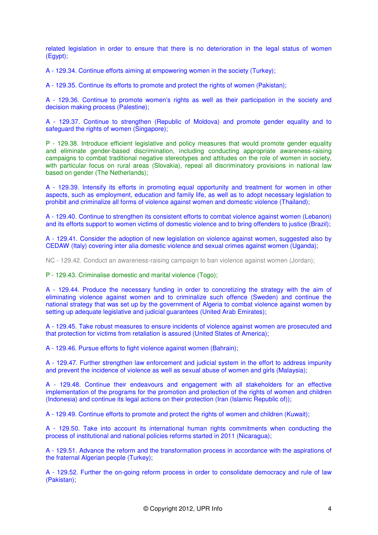related legislation in order to ensure that there is no deterioration in the legal status of women (Egypt);

A - 129.34. Continue efforts aiming at empowering women in the society (Turkey);

A - 129.35. Continue its efforts to promote and protect the rights of women (Pakistan);

A - 129.36. Continue to promote women's rights as well as their participation in the society and decision making process (Palestine);

A - 129.37. Continue to strengthen (Republic of Moldova) and promote gender equality and to safeguard the rights of women (Singapore);

P - 129.38. Introduce efficient legislative and policy measures that would promote gender equality and eliminate gender-based discrimination, including conducting appropriate awareness-raising campaigns to combat traditional negative stereotypes and attitudes on the role of women in society, with particular focus on rural areas (Slovakia), repeal all discriminatory provisions in national law based on gender (The Netherlands);

A - 129.39. Intensify its efforts in promoting equal opportunity and treatment for women in other aspects, such as employment, education and family life, as well as to adopt necessary legislation to prohibit and criminalize all forms of violence against women and domestic violence (Thailand);

A - 129.40. Continue to strengthen its consistent efforts to combat violence against women (Lebanon) and its efforts support to women victims of domestic violence and to bring offenders to justice (Brazil);

A - 129.41. Consider the adoption of new legislation on violence against women, suggested also by CEDAW (Italy) covering inter alia domestic violence and sexual crimes against women (Uganda);

NC - 129.42. Conduct an awareness-raising campaign to ban violence against women (Jordan);

P - 129.43. Criminalise domestic and marital violence (Togo);

A - 129.44. Produce the necessary funding in order to concretizing the strategy with the aim of eliminating violence against women and to criminalize such offence (Sweden) and continue the national strategy that was set up by the government of Algeria to combat violence against women by setting up adequate legislative and judicial guarantees (United Arab Emirates);

A - 129.45. Take robust measures to ensure incidents of violence against women are prosecuted and that protection for victims from retaliation is assured (United States of America);

A - 129.46. Pursue efforts to fight violence against women (Bahrain);

A - 129.47. Further strengthen law enforcement and judicial system in the effort to address impunity and prevent the incidence of violence as well as sexual abuse of women and girls (Malaysia);

A - 129.48. Continue their endeavours and engagement with all stakeholders for an effective implementation of the programs for the promotion and protection of the rights of women and children (Indonesia) and continue its legal actions on their protection (Iran (Islamic Republic of));

A - 129.49. Continue efforts to promote and protect the rights of women and children (Kuwait);

A - 129.50. Take into account its international human rights commitments when conducting the process of institutional and national policies reforms started in 2011 (Nicaragua);

A - 129.51. Advance the reform and the transformation process in accordance with the aspirations of the fraternal Algerian people (Turkey);

A - 129.52. Further the on-going reform process in order to consolidate democracy and rule of law (Pakistan);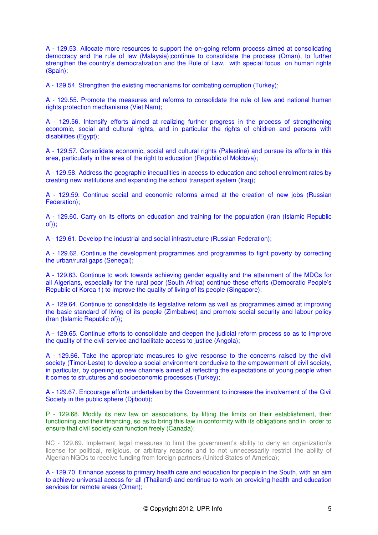A - 129.53. Allocate more resources to support the on-going reform process aimed at consolidating democracy and the rule of law (Malaysia);continue to consolidate the process (Oman), to further strengthen the country's democratization and the Rule of Law, with special focus on human rights (Spain);

A - 129.54. Strengthen the existing mechanisms for combating corruption (Turkey);

A - 129.55. Promote the measures and reforms to consolidate the rule of law and national human rights protection mechanisms (Viet Nam);

A - 129.56. Intensify efforts aimed at realizing further progress in the process of strengthening economic, social and cultural rights, and in particular the rights of children and persons with disabilities (Egypt);

A - 129.57. Consolidate economic, social and cultural rights (Palestine) and pursue its efforts in this area, particularly in the area of the right to education (Republic of Moldova);

A - 129.58. Address the geographic inequalities in access to education and school enrolment rates by creating new institutions and expanding the school transport system (Iraq);

A - 129.59. Continue social and economic reforms aimed at the creation of new jobs (Russian Federation);

A - 129.60. Carry on its efforts on education and training for the population (Iran (Islamic Republic of));

A - 129.61. Develop the industrial and social infrastructure (Russian Federation);

A - 129.62. Continue the development programmes and programmes to fight poverty by correcting the urban/rural gaps (Senegal);

A - 129.63. Continue to work towards achieving gender equality and the attainment of the MDGs for all Algerians, especially for the rural poor (South Africa) continue these efforts (Democratic People's Republic of Korea 1) to improve the quality of living of its people (Singapore);

A - 129.64. Continue to consolidate its legislative reform as well as programmes aimed at improving the basic standard of living of its people (Zimbabwe) and promote social security and labour policy (Iran (Islamic Republic of));

A - 129.65. Continue efforts to consolidate and deepen the judicial reform process so as to improve the quality of the civil service and facilitate access to justice (Angola);

A - 129.66. Take the appropriate measures to give response to the concerns raised by the civil society (Timor-Leste) to develop a social environment conducive to the empowerment of civil society, in particular, by opening up new channels aimed at reflecting the expectations of young people when it comes to structures and socioeconomic processes (Turkey);

A - 129.67. Encourage efforts undertaken by the Government to increase the involvement of the Civil Society in the public sphere (Djibouti);

P - 129.68. Modify its new law on associations, by lifting the limits on their establishment, their functioning and their financing, so as to bring this law in conformity with its obligations and in order to ensure that civil society can function freely (Canada);

NC - 129.69. Implement legal measures to limit the government's ability to deny an organization's license for political, religious, or arbitrary reasons and to not unnecessarily restrict the ability of Algerian NGOs to receive funding from foreign partners (United States of America);

A - 129.70. Enhance access to primary health care and education for people in the South, with an aim to achieve universal access for all (Thailand) and continue to work on providing health and education services for remote areas (Oman);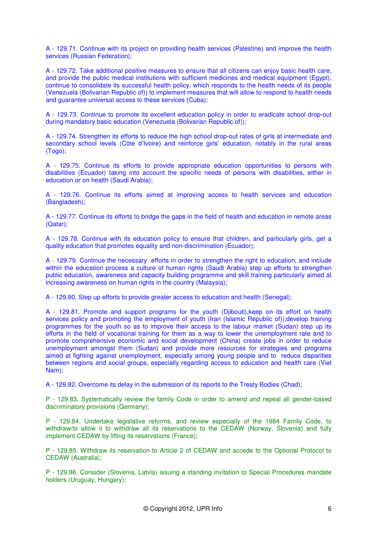A - 129.71. Continue with its project on providing health services (Palestine) and improve the health services (Russian Federation);

A - 129.72. Take additional positive measures to ensure that all citizens can enjoy basic health care, and provide the public medical institutions with sufficient medicines and medical equipment (Egypt), continue to consolidate its successful health policy, which responds to the health needs of its people (Venezuela (Bolivarian Republic of)) to implement measures that will allow to respond to health needs and guarantee universal access to these services (Cuba);

A - 129.73. Continue to promote its excellent education policy in order to eradicate school drop-out during mandatory basic education (Venezuela (Bolivarian Republic of));

A - 129.74. Strengthen its efforts to reduce the high school drop-out rates of girls at intermediate and secondary school levels (Côte d'Ivoire) and reinforce girls' education, notably in the rural areas (Togo);

A - 129.75. Continue its efforts to provide appropriate education opportunities to persons with disabilities (Ecuador) taking into account the specific needs of persons with disabilities, either in education or on health (Saudi Arabia);

A - 129.76. Continue its efforts aimed at improving access to health services and education (Bangladesh);

A - 129.77. Continue its efforts to bridge the gaps in the field of health and education in remote areas (Qatar);

A - 129.78. Continue with its education policy to ensure that children, and particularly girls, get a quality education that promotes equality and non-discrimination (Ecuador);

A - 129.79. Continue the necessary efforts in order to strengthen the right to education, and include within the education process a culture of human rights (Saudi Arabia) step up efforts to strengthen public education, awareness and capacity building programme and skill training particularly aimed at increasing awareness on human rights in the country (Malaysia);

A - 129.80. Step up efforts to provide greater access to education and health (Senegal);

A - 129.81. Promote and support programs for the youth (Djibouti),keep on its effort on health services policy and promoting the employment of youth (Iran (Islamic Republic of));develop training programmes for the youth so as to improve their access to the labour market (Sudan) step up its efforts in the field of vocational training for them as a way to lower the unemployment rate and to promote comprehensive economic and social development (China) create jobs in order to reduce unemployment amongst them (Sudan) and provide more resources for strategies and programs aimed at fighting against unemployment, especially among young people and to reduce disparities between regions and social groups, especially regarding access to education and health care (Viet Nam);

A - 129.82. Overcome its delay in the submission of its reports to the Treaty Bodies (Chad);

P - 129.83. Systematically review the family Code in order to amend and repeal all gender-based discriminatory provisions (Germany);

P - 129.84. Undertake legislative reforms, and review especially of the 1984 Family Code, to withdraw/to allow it to withdraw all its reservations to the CEDAW (Norway, Slovenia) and fully implement CEDAW by lifting its reservations (France);

P - 129.85. Withdraw its reservation to Article 2 of CEDAW and accede to the Optional Protocol to CEDAW (Australia);

P - 129.86. Consider (Slovenia, Latvia) issuing a standing invitation to Special Procedures mandate holders (Uruguay, Hungary);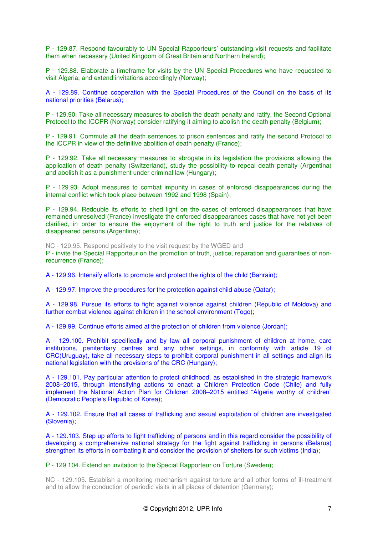P - 129.87. Respond favourably to UN Special Rapporteurs' outstanding visit requests and facilitate them when necessary (United Kingdom of Great Britain and Northern Ireland);

P - 129.88. Elaborate a timeframe for visits by the UN Special Procedures who have requested to visit Algeria, and extend invitations accordingly (Norway);

A - 129.89. Continue cooperation with the Special Procedures of the Council on the basis of its national priorities (Belarus);

P - 129.90. Take all necessary measures to abolish the death penalty and ratify, the Second Optional Protocol to the ICCPR (Norway) consider ratifying it aiming to abolish the death penalty (Belgium);

P - 129.91. Commute all the death sentences to prison sentences and ratify the second Protocol to the ICCPR in view of the definitive abolition of death penalty (France);

P - 129.92. Take all necessary measures to abrogate in its legislation the provisions allowing the application of death penalty (Switzerland), study the possibility to repeal death penalty (Argentina) and abolish it as a punishment under criminal law (Hungary);

P - 129.93. Adopt measures to combat impunity in cases of enforced disappearances during the internal conflict which took place between 1992 and 1998 (Spain);

P - 129.94. Redouble its efforts to shed light on the cases of enforced disappearances that have remained unresolved (France) investigate the enforced disappearances cases that have not yet been clarified, in order to ensure the enjoyment of the right to truth and justice for the relatives of disappeared persons (Argentina);

NC - 129.95. Respond positively to the visit request by the WGED and

P - invite the Special Rapporteur on the promotion of truth, justice, reparation and guarantees of nonrecurrence (France);

A - 129.96. Intensify efforts to promote and protect the rights of the child (Bahrain);

A - 129.97. Improve the procedures for the protection against child abuse (Qatar);

A - 129.98. Pursue its efforts to fight against violence against children (Republic of Moldova) and further combat violence against children in the school environment (Togo);

A - 129.99. Continue efforts aimed at the protection of children from violence (Jordan);

A - 129.100. Prohibit specifically and by law all corporal punishment of children at home, care institutions, penitentiary centres and any other settings, in conformity with article 19 of CRC(Uruguay), take all necessary steps to prohibit corporal punishment in all settings and align its national legislation with the provisions of the CRC (Hungary);

A - 129.101. Pay particular attention to protect childhood, as established in the strategic framework 2008–2015, through intensifying actions to enact a Children Protection Code (Chile) and fully implement the National Action Plan for Children 2008–2015 entitled "Algeria worthy of children" (Democratic People's Republic of Korea);

A - 129.102. Ensure that all cases of trafficking and sexual exploitation of children are investigated (Slovenia);

A - 129.103. Step up efforts to fight trafficking of persons and in this regard consider the possibility of developing a comprehensive national strategy for the fight against trafficking in persons (Belarus) strengthen its efforts in combating it and consider the provision of shelters for such victims (India);

P - 129.104. Extend an invitation to the Special Rapporteur on Torture (Sweden);

NC - 129.105. Establish a monitoring mechanism against torture and all other forms of ill-treatment and to allow the conduction of periodic visits in all places of detention (Germany);